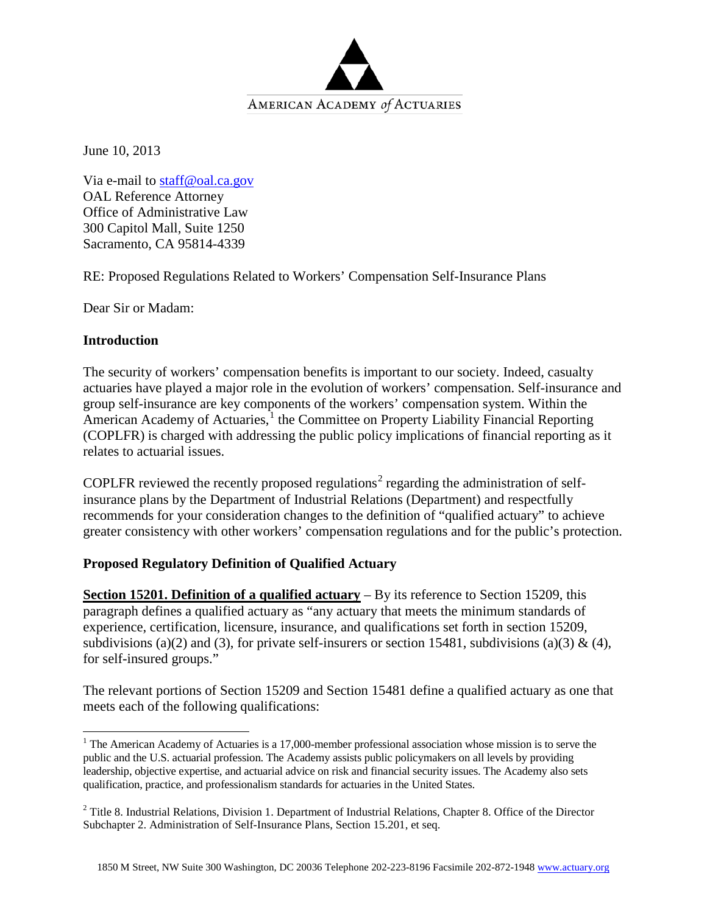

June 10, 2013

Via e-mail to [staff@oal.ca.gov](mailto:staff@oal.ca.gov) OAL Reference Attorney Office of Administrative Law 300 Capitol Mall, Suite 1250 Sacramento, CA 95814-4339

RE: Proposed Regulations Related to Workers' Compensation Self-Insurance Plans

Dear Sir or Madam:

## **Introduction**

The security of workers' compensation benefits is important to our society. Indeed, casualty actuaries have played a major role in the evolution of workers' compensation. Self-insurance and group self-insurance are key components of the workers' compensation system. Within the American Academy of Actuaries,<sup>[1](#page-0-0)</sup> the Committee on Property Liability Financial Reporting (COPLFR) is charged with addressing the public policy implications of financial reporting as it relates to actuarial issues.

COPLFR reviewed the recently proposed regulations<sup>[2](#page-0-1)</sup> regarding the administration of selfinsurance plans by the Department of Industrial Relations (Department) and respectfully recommends for your consideration changes to the definition of "qualified actuary" to achieve greater consistency with other workers' compensation regulations and for the public's protection.

## **Proposed Regulatory Definition of Qualified Actuary**

**Section 15201. Definition of a qualified actuary** – By its reference to Section 15209, this paragraph defines a qualified actuary as "any actuary that meets the minimum standards of experience, certification, licensure, insurance, and qualifications set forth in section 15209, subdivisions (a)(2) and (3), for private self-insurers or section 15481, subdivisions (a)(3) & (4), for self-insured groups."

The relevant portions of Section 15209 and Section 15481 define a qualified actuary as one that meets each of the following qualifications:

<span id="page-0-0"></span><sup>&</sup>lt;sup>1</sup> The American Academy of Actuaries is a 17,000-member professional association whose mission is to serve the public and the U.S. actuarial profession. The Academy assists public policymakers on all levels by providing leadership, objective expertise, and actuarial advice on risk and financial security issues. The Academy also sets qualification, practice, and professionalism standards for actuaries in the United States.

<span id="page-0-1"></span><sup>&</sup>lt;sup>2</sup> Title 8. Industrial Relations, Division 1. Department of Industrial Relations, Chapter 8. Office of the Director Subchapter 2. Administration of Self-Insurance Plans, Section 15.201, et seq.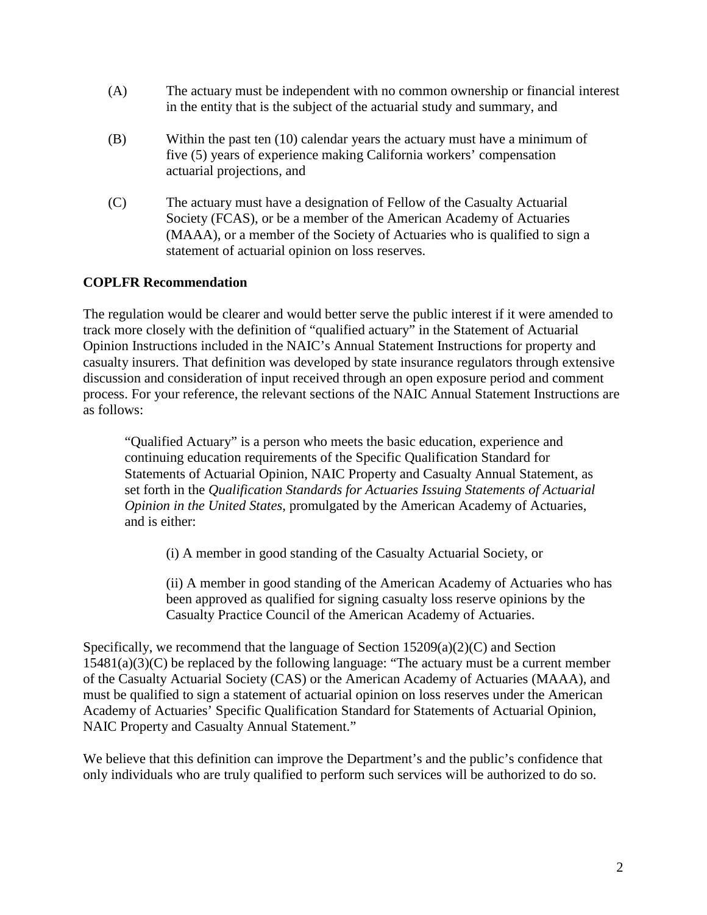- (A) The actuary must be independent with no common ownership or financial interest in the entity that is the subject of the actuarial study and summary, and
- (B) Within the past ten (10) calendar years the actuary must have a minimum of five (5) years of experience making California workers' compensation actuarial projections, and
- (C) The actuary must have a designation of Fellow of the Casualty Actuarial Society (FCAS), or be a member of the American Academy of Actuaries (MAAA), or a member of the Society of Actuaries who is qualified to sign a statement of actuarial opinion on loss reserves.

## **COPLFR Recommendation**

The regulation would be clearer and would better serve the public interest if it were amended to track more closely with the definition of "qualified actuary" in the Statement of Actuarial Opinion Instructions included in the NAIC's Annual Statement Instructions for property and casualty insurers. That definition was developed by state insurance regulators through extensive discussion and consideration of input received through an open exposure period and comment process. For your reference, the relevant sections of the NAIC Annual Statement Instructions are as follows:

"Qualified Actuary" is a person who meets the basic education, experience and continuing education requirements of the Specific Qualification Standard for Statements of Actuarial Opinion, NAIC Property and Casualty Annual Statement, as set forth in the *Qualification Standards for Actuaries Issuing Statements of Actuarial Opinion in the United States*, promulgated by the American Academy of Actuaries, and is either:

(i) A member in good standing of the Casualty Actuarial Society, or

(ii) A member in good standing of the American Academy of Actuaries who has been approved as qualified for signing casualty loss reserve opinions by the Casualty Practice Council of the American Academy of Actuaries.

Specifically, we recommend that the language of Section 15209(a)(2)(C) and Section 15481(a)(3)(C) be replaced by the following language: "The actuary must be a current member of the Casualty Actuarial Society (CAS) or the American Academy of Actuaries (MAAA), and must be qualified to sign a statement of actuarial opinion on loss reserves under the American Academy of Actuaries' Specific Qualification Standard for Statements of Actuarial Opinion, NAIC Property and Casualty Annual Statement."

We believe that this definition can improve the Department's and the public's confidence that only individuals who are truly qualified to perform such services will be authorized to do so.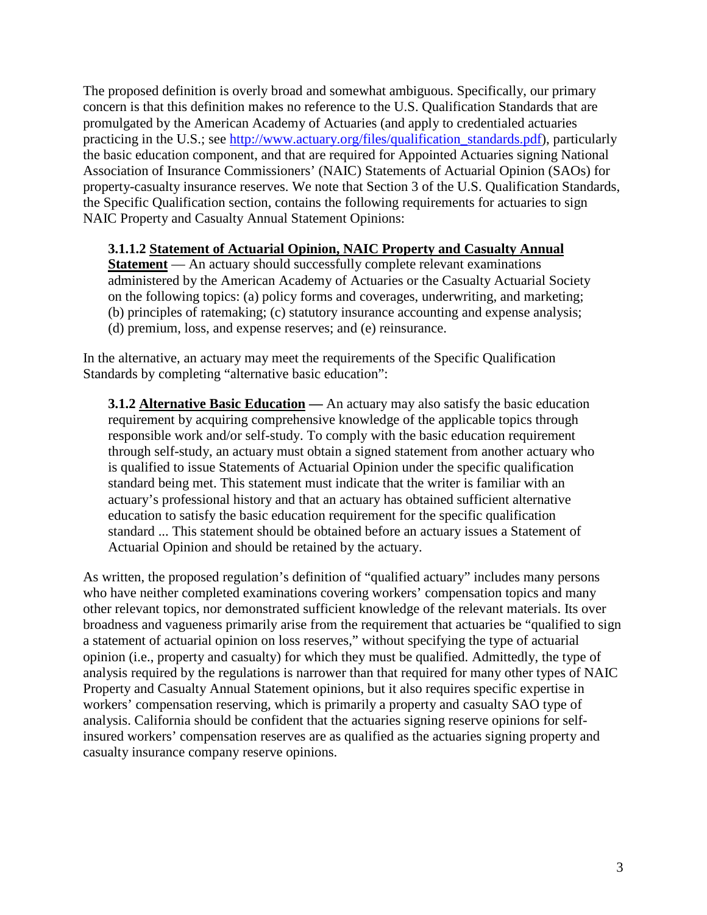The proposed definition is overly broad and somewhat ambiguous. Specifically, our primary concern is that this definition makes no reference to the U.S. Qualification Standards that are promulgated by the American Academy of Actuaries (and apply to credentialed actuaries practicing in the U.S.; see [http://www.actuary.org/files/qualification\\_standards.pdf\)](http://www.actuary.org/files/qualification_standards.pdf), particularly the basic education component, and that are required for Appointed Actuaries signing National Association of Insurance Commissioners' (NAIC) Statements of Actuarial Opinion (SAOs) for property-casualty insurance reserves. We note that Section 3 of the U.S. Qualification Standards, the Specific Qualification section, contains the following requirements for actuaries to sign NAIC Property and Casualty Annual Statement Opinions:

## **3.1.1.2 Statement of Actuarial Opinion, NAIC Property and Casualty Annual**

**Statement** — An actuary should successfully complete relevant examinations administered by the American Academy of Actuaries or the Casualty Actuarial Society on the following topics: (a) policy forms and coverages, underwriting, and marketing; (b) principles of ratemaking; (c) statutory insurance accounting and expense analysis;

- 
- (d) premium, loss, and expense reserves; and (e) reinsurance.

In the alternative, an actuary may meet the requirements of the Specific Qualification Standards by completing "alternative basic education":

**3.1.2 Alternative Basic Education —** An actuary may also satisfy the basic education requirement by acquiring comprehensive knowledge of the applicable topics through responsible work and/or self-study. To comply with the basic education requirement through self-study, an actuary must obtain a signed statement from another actuary who is qualified to issue Statements of Actuarial Opinion under the specific qualification standard being met. This statement must indicate that the writer is familiar with an actuary's professional history and that an actuary has obtained sufficient alternative education to satisfy the basic education requirement for the specific qualification standard ... This statement should be obtained before an actuary issues a Statement of Actuarial Opinion and should be retained by the actuary.

As written, the proposed regulation's definition of "qualified actuary" includes many persons who have neither completed examinations covering workers' compensation topics and many other relevant topics, nor demonstrated sufficient knowledge of the relevant materials. Its over broadness and vagueness primarily arise from the requirement that actuaries be "qualified to sign a statement of actuarial opinion on loss reserves," without specifying the type of actuarial opinion (i.e., property and casualty) for which they must be qualified. Admittedly, the type of analysis required by the regulations is narrower than that required for many other types of NAIC Property and Casualty Annual Statement opinions, but it also requires specific expertise in workers' compensation reserving, which is primarily a property and casualty SAO type of analysis. California should be confident that the actuaries signing reserve opinions for selfinsured workers' compensation reserves are as qualified as the actuaries signing property and casualty insurance company reserve opinions.